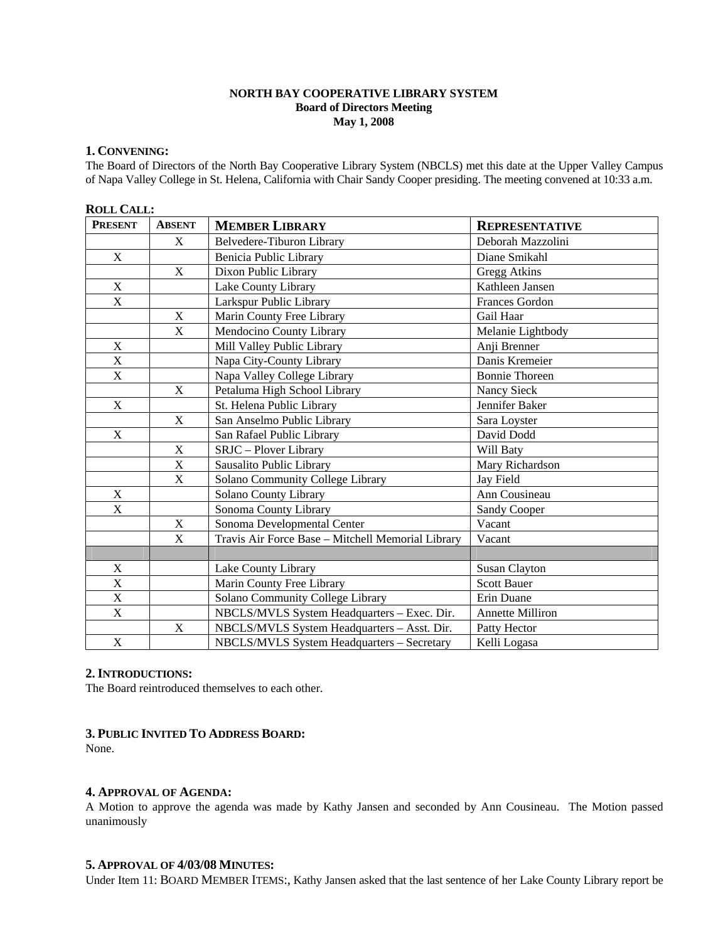# **NORTH BAY COOPERATIVE LIBRARY SYSTEM Board of Directors Meeting May 1, 2008**

# **1. CONVENING:**

The Board of Directors of the North Bay Cooperative Library System (NBCLS) met this date at the Upper Valley Campus of Napa Valley College in St. Helena, California with Chair Sandy Cooper presiding. The meeting convened at 10:33 a.m.

# **ROLL CALL:**

| <b>PRESENT</b>            | <b>ABSENT</b> | <b>MEMBER LIBRARY</b>                             | <b>REPRESENTATIVE</b>   |
|---------------------------|---------------|---------------------------------------------------|-------------------------|
|                           | X             | Belvedere-Tiburon Library                         | Deborah Mazzolini       |
| X                         |               | Benicia Public Library                            | Diane Smikahl           |
|                           | X             | Dixon Public Library                              | Gregg Atkins            |
| X                         |               | Lake County Library                               | Kathleen Jansen         |
| X                         |               | Larkspur Public Library                           | <b>Frances Gordon</b>   |
|                           | X             | Marin County Free Library                         | Gail Haar               |
|                           | X             | Mendocino County Library                          | Melanie Lightbody       |
| X                         |               | Mill Valley Public Library                        | Anji Brenner            |
| $\mathbf X$               |               | Napa City-County Library                          | Danis Kremeier          |
| X                         |               | Napa Valley College Library                       | <b>Bonnie Thoreen</b>   |
|                           | X             | Petaluma High School Library                      | Nancy Sieck             |
| X                         |               | St. Helena Public Library                         | Jennifer Baker          |
|                           | X             | San Anselmo Public Library                        | Sara Loyster            |
| $\mathbf X$               |               | San Rafael Public Library                         | David Dodd              |
|                           | X             | SRJC - Plover Library                             | Will Baty               |
|                           | $\mathbf X$   | Sausalito Public Library                          | Mary Richardson         |
|                           | $\mathbf X$   | Solano Community College Library                  | Jay Field               |
| X                         |               | Solano County Library                             | Ann Cousineau           |
| $\mathbf X$               |               | Sonoma County Library                             | <b>Sandy Cooper</b>     |
|                           | $\mathbf X$   | Sonoma Developmental Center                       | Vacant                  |
|                           | X             | Travis Air Force Base - Mitchell Memorial Library | Vacant                  |
|                           |               |                                                   |                         |
| $\boldsymbol{\mathrm{X}}$ |               | Lake County Library                               | <b>Susan Clayton</b>    |
| $\overline{X}$            |               | Marin County Free Library                         | <b>Scott Bauer</b>      |
| X                         |               | Solano Community College Library                  | Erin Duane              |
| X                         |               | NBCLS/MVLS System Headquarters - Exec. Dir.       | <b>Annette Milliron</b> |
|                           | X             | NBCLS/MVLS System Headquarters - Asst. Dir.       | Patty Hector            |
| X                         |               | NBCLS/MVLS System Headquarters - Secretary        | Kelli Logasa            |

# **2.INTRODUCTIONS:**

The Board reintroduced themselves to each other.

## **3. PUBLIC INVITED TO ADDRESS BOARD:**

None.

# **4. APPROVAL OF AGENDA:**

A Motion to approve the agenda was made by Kathy Jansen and seconded by Ann Cousineau. The Motion passed unanimously

## **5. APPROVAL OF 4/03/08 MINUTES:**

Under Item 11: BOARD MEMBER ITEMS:, Kathy Jansen asked that the last sentence of her Lake County Library report be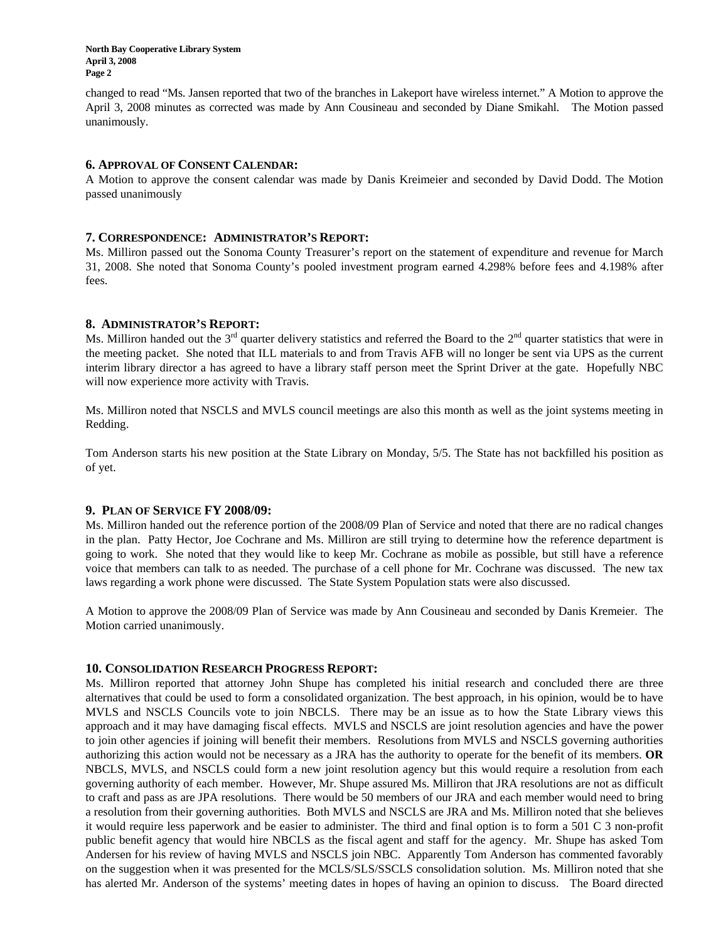**North Bay Cooperative Library System April 3, 2008 Page 2** 

changed to read "Ms. Jansen reported that two of the branches in Lakeport have wireless internet." A Motion to approve the April 3, 2008 minutes as corrected was made by Ann Cousineau and seconded by Diane Smikahl. The Motion passed unanimously.

### **6. APPROVAL OF CONSENT CALENDAR:**

A Motion to approve the consent calendar was made by Danis Kreimeier and seconded by David Dodd. The Motion passed unanimously

### **7. CORRESPONDENCE: ADMINISTRATOR'S REPORT:**

Ms. Milliron passed out the Sonoma County Treasurer's report on the statement of expenditure and revenue for March 31, 2008. She noted that Sonoma County's pooled investment program earned 4.298% before fees and 4.198% after fees.

### **8. ADMINISTRATOR'S REPORT:**

Ms. Milliron handed out the  $3<sup>rd</sup>$  quarter delivery statistics and referred the Board to the  $2<sup>nd</sup>$  quarter statistics that were in the meeting packet. She noted that ILL materials to and from Travis AFB will no longer be sent via UPS as the current interim library director a has agreed to have a library staff person meet the Sprint Driver at the gate. Hopefully NBC will now experience more activity with Travis.

Ms. Milliron noted that NSCLS and MVLS council meetings are also this month as well as the joint systems meeting in Redding.

Tom Anderson starts his new position at the State Library on Monday, 5/5. The State has not backfilled his position as of yet.

## **9. PLAN OF SERVICE FY 2008/09:**

Ms. Milliron handed out the reference portion of the 2008/09 Plan of Service and noted that there are no radical changes in the plan. Patty Hector, Joe Cochrane and Ms. Milliron are still trying to determine how the reference department is going to work. She noted that they would like to keep Mr. Cochrane as mobile as possible, but still have a reference voice that members can talk to as needed. The purchase of a cell phone for Mr. Cochrane was discussed. The new tax laws regarding a work phone were discussed. The State System Population stats were also discussed.

A Motion to approve the 2008/09 Plan of Service was made by Ann Cousineau and seconded by Danis Kremeier. The Motion carried unanimously.

#### **10. CONSOLIDATION RESEARCH PROGRESS REPORT:**

Ms. Milliron reported that attorney John Shupe has completed his initial research and concluded there are three alternatives that could be used to form a consolidated organization. The best approach, in his opinion, would be to have MVLS and NSCLS Councils vote to join NBCLS. There may be an issue as to how the State Library views this approach and it may have damaging fiscal effects. MVLS and NSCLS are joint resolution agencies and have the power to join other agencies if joining will benefit their members. Resolutions from MVLS and NSCLS governing authorities authorizing this action would not be necessary as a JRA has the authority to operate for the benefit of its members. **OR** NBCLS, MVLS, and NSCLS could form a new joint resolution agency but this would require a resolution from each governing authority of each member. However, Mr. Shupe assured Ms. Milliron that JRA resolutions are not as difficult to craft and pass as are JPA resolutions. There would be 50 members of our JRA and each member would need to bring a resolution from their governing authorities. Both MVLS and NSCLS are JRA and Ms. Milliron noted that she believes it would require less paperwork and be easier to administer. The third and final option is to form a 501 C 3 non-profit public benefit agency that would hire NBCLS as the fiscal agent and staff for the agency. Mr. Shupe has asked Tom Andersen for his review of having MVLS and NSCLS join NBC. Apparently Tom Anderson has commented favorably on the suggestion when it was presented for the MCLS/SLS/SSCLS consolidation solution. Ms. Milliron noted that she has alerted Mr. Anderson of the systems' meeting dates in hopes of having an opinion to discuss. The Board directed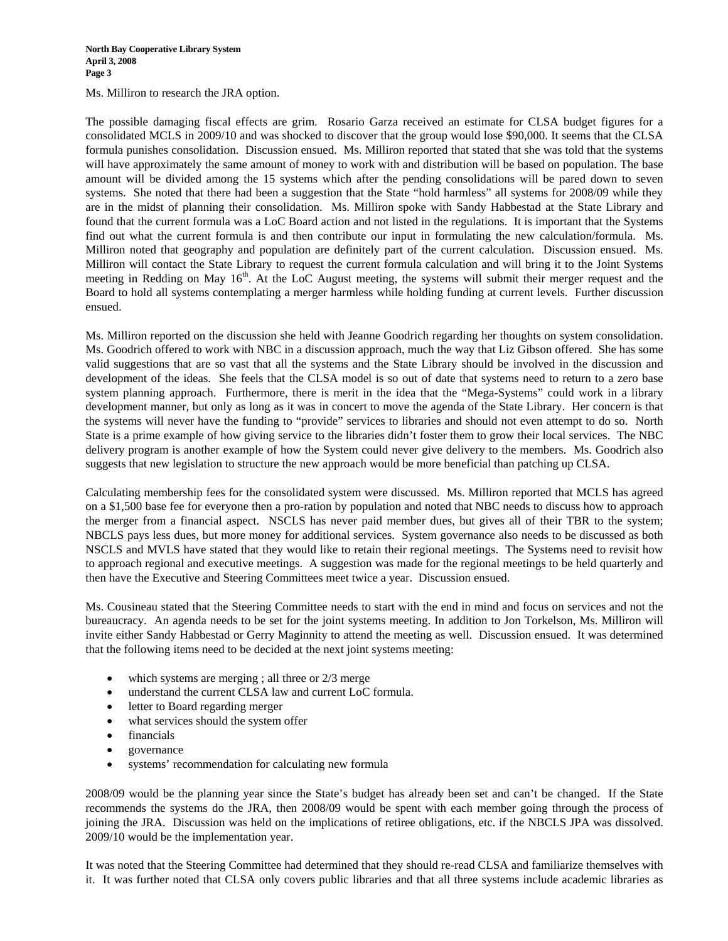Ms. Milliron to research the JRA option.

The possible damaging fiscal effects are grim. Rosario Garza received an estimate for CLSA budget figures for a consolidated MCLS in 2009/10 and was shocked to discover that the group would lose \$90,000. It seems that the CLSA formula punishes consolidation. Discussion ensued. Ms. Milliron reported that stated that she was told that the systems will have approximately the same amount of money to work with and distribution will be based on population. The base amount will be divided among the 15 systems which after the pending consolidations will be pared down to seven systems. She noted that there had been a suggestion that the State "hold harmless" all systems for 2008/09 while they are in the midst of planning their consolidation. Ms. Milliron spoke with Sandy Habbestad at the State Library and found that the current formula was a LoC Board action and not listed in the regulations. It is important that the Systems find out what the current formula is and then contribute our input in formulating the new calculation/formula. Ms. Milliron noted that geography and population are definitely part of the current calculation. Discussion ensued. Ms. Milliron will contact the State Library to request the current formula calculation and will bring it to the Joint Systems meeting in Redding on May  $16<sup>th</sup>$ . At the LoC August meeting, the systems will submit their merger request and the Board to hold all systems contemplating a merger harmless while holding funding at current levels. Further discussion ensued.

Ms. Milliron reported on the discussion she held with Jeanne Goodrich regarding her thoughts on system consolidation. Ms. Goodrich offered to work with NBC in a discussion approach, much the way that Liz Gibson offered. She has some valid suggestions that are so vast that all the systems and the State Library should be involved in the discussion and development of the ideas. She feels that the CLSA model is so out of date that systems need to return to a zero base system planning approach. Furthermore, there is merit in the idea that the "Mega-Systems" could work in a library development manner, but only as long as it was in concert to move the agenda of the State Library. Her concern is that the systems will never have the funding to "provide" services to libraries and should not even attempt to do so. North State is a prime example of how giving service to the libraries didn't foster them to grow their local services. The NBC delivery program is another example of how the System could never give delivery to the members. Ms. Goodrich also suggests that new legislation to structure the new approach would be more beneficial than patching up CLSA.

Calculating membership fees for the consolidated system were discussed. Ms. Milliron reported that MCLS has agreed on a \$1,500 base fee for everyone then a pro-ration by population and noted that NBC needs to discuss how to approach the merger from a financial aspect. NSCLS has never paid member dues, but gives all of their TBR to the system; NBCLS pays less dues, but more money for additional services. System governance also needs to be discussed as both NSCLS and MVLS have stated that they would like to retain their regional meetings. The Systems need to revisit how to approach regional and executive meetings. A suggestion was made for the regional meetings to be held quarterly and then have the Executive and Steering Committees meet twice a year. Discussion ensued.

Ms. Cousineau stated that the Steering Committee needs to start with the end in mind and focus on services and not the bureaucracy. An agenda needs to be set for the joint systems meeting. In addition to Jon Torkelson, Ms. Milliron will invite either Sandy Habbestad or Gerry Maginnity to attend the meeting as well. Discussion ensued. It was determined that the following items need to be decided at the next joint systems meeting:

- which systems are merging ; all three or  $2/3$  merge
- understand the current CLSA law and current LoC formula.
- letter to Board regarding merger
- what services should the system offer
- financials
- governance
- systems' recommendation for calculating new formula

2008/09 would be the planning year since the State's budget has already been set and can't be changed. If the State recommends the systems do the JRA, then 2008/09 would be spent with each member going through the process of joining the JRA. Discussion was held on the implications of retiree obligations, etc. if the NBCLS JPA was dissolved. 2009/10 would be the implementation year.

It was noted that the Steering Committee had determined that they should re-read CLSA and familiarize themselves with it. It was further noted that CLSA only covers public libraries and that all three systems include academic libraries as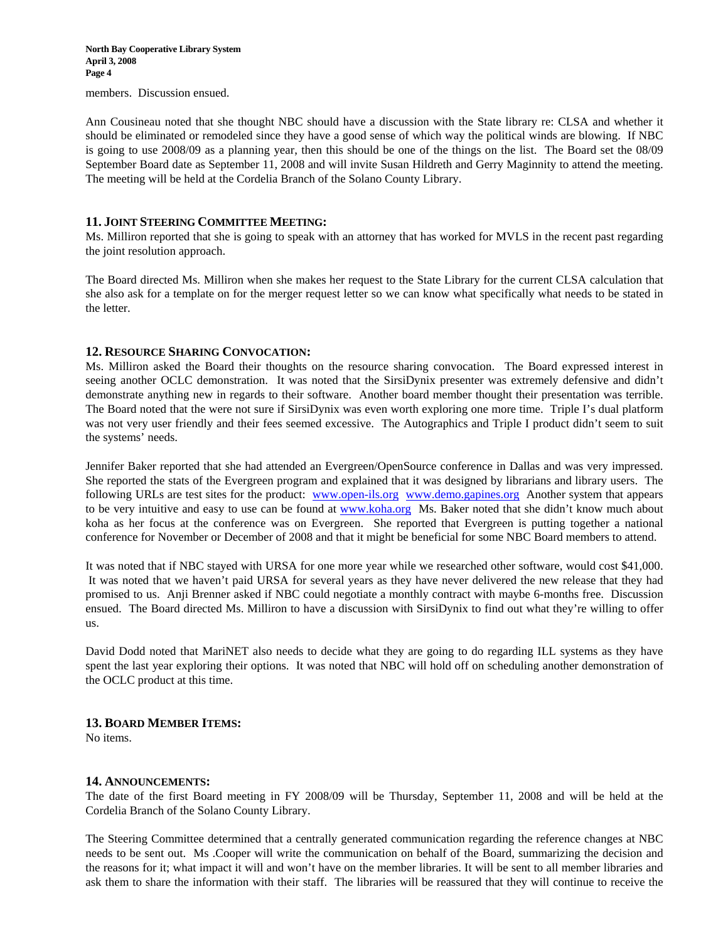**North Bay Cooperative Library System April 3, 2008 Page 4** 

members. Discussion ensued.

Ann Cousineau noted that she thought NBC should have a discussion with the State library re: CLSA and whether it should be eliminated or remodeled since they have a good sense of which way the political winds are blowing. If NBC is going to use 2008/09 as a planning year, then this should be one of the things on the list. The Board set the 08/09 September Board date as September 11, 2008 and will invite Susan Hildreth and Gerry Maginnity to attend the meeting. The meeting will be held at the Cordelia Branch of the Solano County Library.

## **11. JOINT STEERING COMMITTEE MEETING:**

Ms. Milliron reported that she is going to speak with an attorney that has worked for MVLS in the recent past regarding the joint resolution approach.

The Board directed Ms. Milliron when she makes her request to the State Library for the current CLSA calculation that she also ask for a template on for the merger request letter so we can know what specifically what needs to be stated in the letter.

### **12. RESOURCE SHARING CONVOCATION:**

Ms. Milliron asked the Board their thoughts on the resource sharing convocation. The Board expressed interest in seeing another OCLC demonstration. It was noted that the SirsiDynix presenter was extremely defensive and didn't demonstrate anything new in regards to their software. Another board member thought their presentation was terrible. The Board noted that the were not sure if SirsiDynix was even worth exploring one more time. Triple I's dual platform was not very user friendly and their fees seemed excessive. The Autographics and Triple I product didn't seem to suit the systems' needs.

Jennifer Baker reported that she had attended an Evergreen/OpenSource conference in Dallas and was very impressed. She reported the stats of the Evergreen program and explained that it was designed by librarians and library users. The following URLs are test sites for the product: [www.open-ils.org](http://www.open-ils.org/) [www.demo.gapines.org](http://www.demo.gapines.org/) Another system that appears to be very intuitive and easy to use can be found at [www.koha.org](http://www.koha.org/) Ms. Baker noted that she didn't know much about koha as her focus at the conference was on Evergreen. She reported that Evergreen is putting together a national conference for November or December of 2008 and that it might be beneficial for some NBC Board members to attend.

It was noted that if NBC stayed with URSA for one more year while we researched other software, would cost \$41,000. It was noted that we haven't paid URSA for several years as they have never delivered the new release that they had promised to us. Anji Brenner asked if NBC could negotiate a monthly contract with maybe 6-months free. Discussion ensued. The Board directed Ms. Milliron to have a discussion with SirsiDynix to find out what they're willing to offer us.

David Dodd noted that MariNET also needs to decide what they are going to do regarding ILL systems as they have spent the last year exploring their options. It was noted that NBC will hold off on scheduling another demonstration of the OCLC product at this time.

#### **13. BOARD MEMBER ITEMS:**

No items.

#### **14. ANNOUNCEMENTS:**

The date of the first Board meeting in FY 2008/09 will be Thursday, September 11, 2008 and will be held at the Cordelia Branch of the Solano County Library.

The Steering Committee determined that a centrally generated communication regarding the reference changes at NBC needs to be sent out. Ms .Cooper will write the communication on behalf of the Board, summarizing the decision and the reasons for it; what impact it will and won't have on the member libraries. It will be sent to all member libraries and ask them to share the information with their staff. The libraries will be reassured that they will continue to receive the